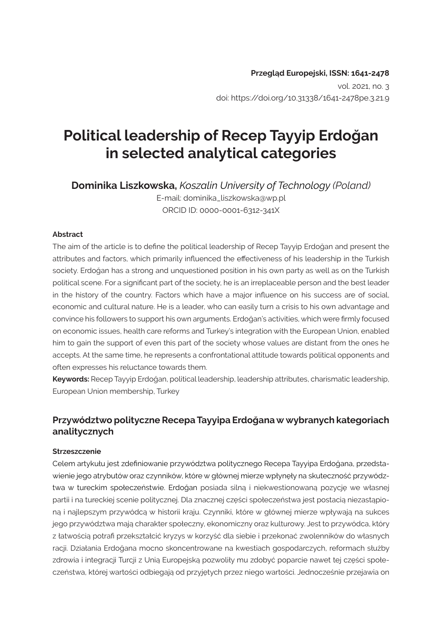#### **Przegląd Europejski, ISSN: 1641-2478**

vol. 2021, no. 3 doi: https://doi.org/10.31338/1641-2478pe.3.21.9

# **Political leadership of Recep Tayyip Erdoğan in selected analytical categories**

**Dominika Liszkowska,** *Koszalin University of Technology (Poland)* E-mail: dominika\_liszkowska@wp.pl ORCID ID: 0000-0001-6312-341X

#### **Abstract**

The aim of the article is to define the political leadership of Recep Tayyip Erdoğan and present the attributes and factors, which primarily influenced the effectiveness of his leadership in the Turkish society. Erdoğan has a strong and unquestioned position in his own party as well as on the Turkish political scene. For a significant part of the society, he is an irreplaceable person and the best leader in the history of the country. Factors which have a major influence on his success are of social, economic and cultural nature. He is a leader, who can easily turn a crisis to his own advantage and convince his followers to support his own arguments. Erdoğan's activities, which were firmly focused on economic issues, health care reforms and Turkey's integration with the European Union, enabled him to gain the support of even this part of the society whose values are distant from the ones he accepts. At the same time, he represents a confrontational attitude towards political opponents and often expresses his reluctance towards them.

**Keywords:** Recep Tayyip Erdoğan, political leadership, leadership attributes, charismatic leadership, European Union membership, Turkey

### **Przywództwo polityczne Recepa Tayyipa Erdoğana w wybranych kategoriach analitycznych**

#### **Strzeszczenie**

Celem artykułu jest zdefiniowanie przywództwa politycznego Recepa Tayyipa Erdoğana, przedstawienie jego atrybutów oraz czynników, które w głównej mierze wpłynęły na skuteczność przywództwa w tureckim społeczeństwie. Erdoğan posiada silną i niekwestionowaną pozycję we własnej partii i na tureckiej scenie politycznej. Dla znacznej części społeczeństwa jest postacią niezastąpioną i najlepszym przywódcą w historii kraju. Czynniki, które w głównej mierze wpływają na sukces jego przywództwa mają charakter społeczny, ekonomiczny oraz kulturowy. Jest to przywódca, który z łatwością potrafi przekształcić kryzys w korzyść dla siebie i przekonać zwolenników do własnych racji. Działania Erdoğana mocno skoncentrowane na kwestiach gospodarczych, reformach służby zdrowia i integracji Turcji z Unią Europejską pozwoliły mu zdobyć poparcie nawet tej części społeczeństwa, której wartości odbiegają od przyjętych przez niego wartości. Jednocześnie przejawia on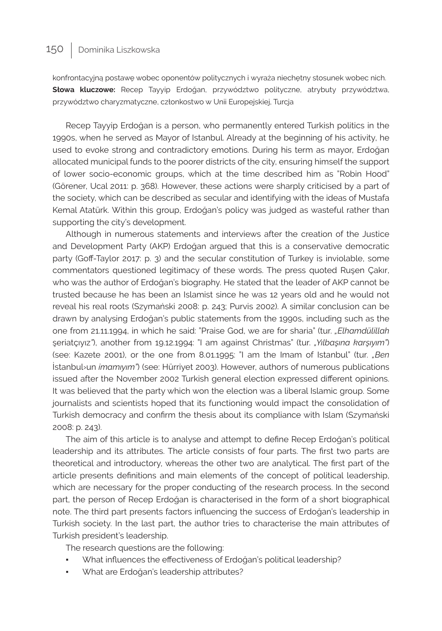konfrontacyjną postawę wobec oponentów politycznych i wyraża niechętny stosunek wobec nich. **Słowa kluczowe:** Recep Tayyip Erdoğan, przywództwo polityczne, atrybuty przywództwa, przywództwo charyzmatyczne, członkostwo w Unii Europejskiej, Turcja

Recep Tayyip Erdoğan is a person, who permanently entered Turkish politics in the 1990s, when he served as Mayor of Istanbul. Already at the beginning of his activity, he used to evoke strong and contradictory emotions. During his term as mayor, Erdoğan allocated municipal funds to the poorer districts of the city, ensuring himself the support of lower socio-economic groups, which at the time described him as "Robin Hood" (Görener, Ucal 2011: p. 368). However, these actions were sharply criticised by a part of the society, which can be described as secular and identifying with the ideas of Mustafa Kemal Atatürk. Within this group, Erdoğan's policy was judged as wasteful rather than supporting the city's development.

Although in numerous statements and interviews after the creation of the Justice and Development Party (AKP) Erdoğan argued that this is a conservative democratic party (Goff-Taylor 2017: p. 3) and the secular constitution of Turkey is inviolable, some commentators questioned legitimacy of these words. The press quoted Ruşen Çakır, who was the author of Erdoğan's biography. He stated that the leader of AKP cannot be trusted because he has been an Islamist since he was 12 years old and he would not reveal his real roots (Szymański 2008: p. 243; Purvis 2002). A similar conclusion can be drawn by analysing Erdoğan's public statements from the 1990s, including such as the one from 21.11.1994, in which he said: "Praise God, we are for sharia" (tur. *"Elhamdülillah*  şeriatçıyız*"*), another from 19.12.1994: "I am against Christmas" (tur. *"Yılbaşına karşıyım"*) (see: Kazete 2001), or the one from 8.01.1995: "I am the Imam of Istanbul" (tur. *"Ben*  İstanbul›un *imamıyım"*) (see: Hürriyet 2003). However, authors of numerous publications issued after the November 2002 Turkish general election expressed different opinions. It was believed that the party which won the election was a liberal Islamic group. Some journalists and scientists hoped that its functioning would impact the consolidation of Turkish democracy and confirm the thesis about its compliance with Islam (Szymański 2008: p. 243).

The aim of this article is to analyse and attempt to define Recep Erdoğan's political leadership and its attributes. The article consists of four parts. The first two parts are theoretical and introductory, whereas the other two are analytical. The first part of the article presents definitions and main elements of the concept of political leadership, which are necessary for the proper conducting of the research process. In the second part, the person of Recep Erdoğan is characterised in the form of a short biographical note. The third part presents factors influencing the success of Erdoğan's leadership in Turkish society. In the last part, the author tries to characterise the main attributes of Turkish president's leadership.

The research questions are the following:

- What influences the effectiveness of Erdoğan's political leadership?
- What are Erdoğan's leadership attributes?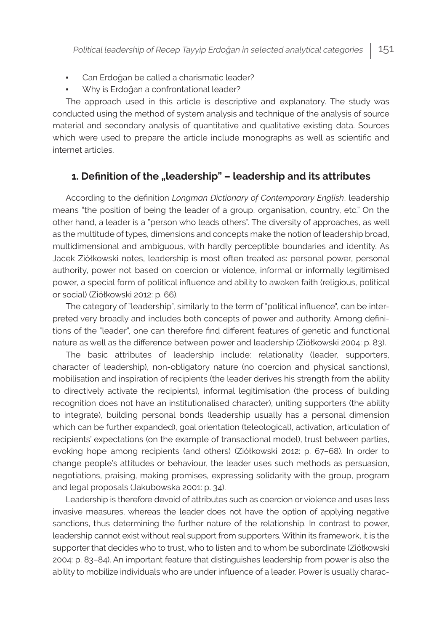- Can Erdoğan be called a charismatic leader?
- Why is Erdoğan a confrontational leader?

The approach used in this article is descriptive and explanatory. The study was conducted using the method of system analysis and technique of the analysis of source material and secondary analysis of quantitative and qualitative existing data. Sources which were used to prepare the article include monographs as well as scientific and internet articles.

### **1. Definition of the "leadership" – leadership and its attributes**

According to the definition *Longman Dictionary of Contemporary English*, leadership means "the position of being the leader of a group, organisation, country, etc." On the other hand, a leader is a "person who leads others". The diversity of approaches, as well as the multitude of types, dimensions and concepts make the notion of leadership broad, multidimensional and ambiguous, with hardly perceptible boundaries and identity. As Jacek Ziółkowski notes, leadership is most often treated as: personal power, personal authority, power not based on coercion or violence, informal or informally legitimised power, a special form of political influence and ability to awaken faith (religious, political or social) (Ziółkowski 2012: p. 66).

The category of "leadership", similarly to the term of "political influence", can be interpreted very broadly and includes both concepts of power and authority. Among definitions of the "leader", one can therefore find different features of genetic and functional nature as well as the difference between power and leadership (Ziółkowski 2004: p. 83).

The basic attributes of leadership include: relationality (leader, supporters, character of leadership), non-obligatory nature (no coercion and physical sanctions), mobilisation and inspiration of recipients (the leader derives his strength from the ability to directively activate the recipients), informal legitimisation (the process of building recognition does not have an institutionalised character), uniting supporters (the ability to integrate), building personal bonds (leadership usually has a personal dimension which can be further expanded), goal orientation (teleological), activation, articulation of recipients' expectations (on the example of transactional model), trust between parties, evoking hope among recipients (and others) (Ziółkowski 2012: p. 67–68). In order to change people's attitudes or behaviour, the leader uses such methods as persuasion, negotiations, praising, making promises, expressing solidarity with the group, program and legal proposals (Jakubowska 2001: p. 34).

Leadership is therefore devoid of attributes such as coercion or violence and uses less invasive measures, whereas the leader does not have the option of applying negative sanctions, thus determining the further nature of the relationship. In contrast to power, leadership cannot exist without real support from supporters. Within its framework, it is the supporter that decides who to trust, who to listen and to whom be subordinate (Ziółkowski 2004: p. 83–84). An important feature that distinguishes leadership from power is also the ability to mobilize individuals who are under influence of a leader. Power is usually charac-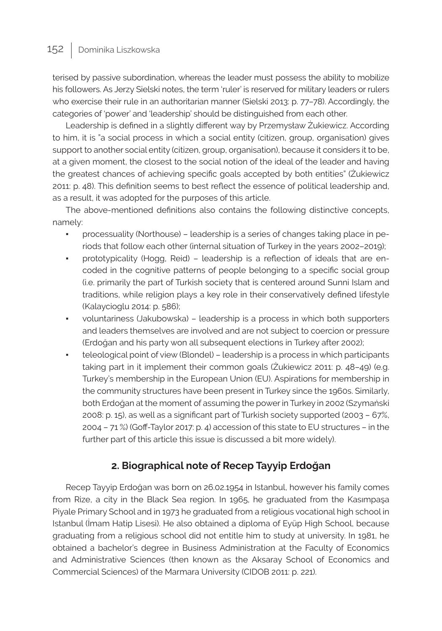terised by passive subordination, whereas the leader must possess the ability to mobilize his followers. As Jerzy Sielski notes, the term 'ruler' is reserved for military leaders or rulers who exercise their rule in an authoritarian manner (Sielski 2013: p. 77–78). Accordingly, the categories of 'power' and 'leadership' should be distinguished from each other.

Leadership is defined in a slightly different way by Przemysław Żukiewicz. According to him, it is "a social process in which a social entity (citizen, group, organisation) gives support to another social entity (citizen, group, organisation), because it considers it to be, at a given moment, the closest to the social notion of the ideal of the leader and having the greatest chances of achieving specific goals accepted by both entities" (Żukiewicz 2011: p. 48). This definition seems to best reflect the essence of political leadership and, as a result, it was adopted for the purposes of this article.

The above-mentioned definitions also contains the following distinctive concepts, namely:

- processuality (Northouse) leadership is a series of changes taking place in periods that follow each other (internal situation of Turkey in the years 2002–2019);
- prototypicality (Hogg, Reid) leadership is a reflection of ideals that are encoded in the cognitive patterns of people belonging to a specific social group (i.e. primarily the part of Turkish society that is centered around Sunni Islam and traditions, while religion plays a key role in their conservatively defined lifestyle (Kalaycioglu 2014: p. 586);
- voluntariness (Jakubowska) leadership is a process in which both supporters and leaders themselves are involved and are not subject to coercion or pressure (Erdoğan and his party won all subsequent elections in Turkey after 2002);
- teleological point of view (Blondel) leadership is a process in which participants taking part in it implement their common goals (Żukiewicz 2011: p. 48–49) (e.g. Turkey's membership in the European Union (EU). Aspirations for membership in the community structures have been present in Turkey since the 1960s. Similarly, both Erdoğan at the moment of assuming the power in Turkey in 2002 (Szymański 2008: p. 15), as well as a significant part of Turkish society supported (2003 – 67%, 2004 – 71 %) (Goff-Taylor 2017: p. 4) accession of this state to EU structures – in the further part of this article this issue is discussed a bit more widely).

### **2. Biographical note of Recep Tayyip Erdoğan**

Recep Tayyip Erdoğan was born on 26.02.1954 in Istanbul, however his family comes from Rize, a city in the Black Sea region. In 1965, he graduated from the Kasımpaşa Piyale Primary School and in 1973 he graduated from a religious vocational high school in Istanbul (İmam Hatip Lisesi). He also obtained a diploma of Eyüp High School, because graduating from a religious school did not entitle him to study at university. In 1981, he obtained a bachelor's degree in Business Administration at the Faculty of Economics and Administrative Sciences (then known as the Aksaray School of Economics and Commercial Sciences) of the Marmara University (CIDOB 2011: p. 221).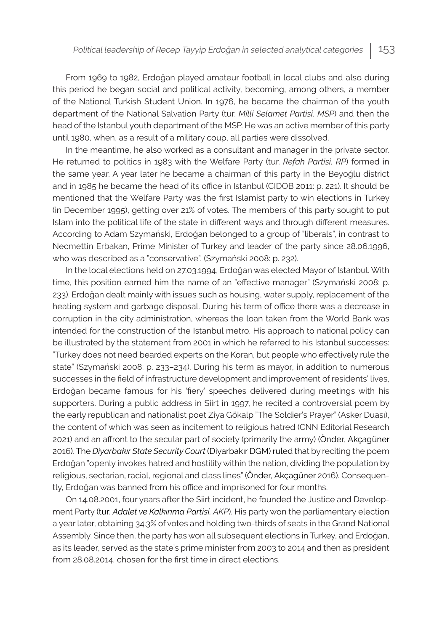From 1969 to 1982, Erdoğan played amateur football in local clubs and also during this period he began social and political activity, becoming, among others, a member of the National Turkish Student Union. In 1976, he became the chairman of the youth department of the National Salvation Party (tur. *Milli Selamet Partisi, MSP*) and then the head of the Istanbul youth department of the MSP. He was an active member of this party until 1980, when, as a result of a military coup, all parties were dissolved.

In the meantime, he also worked as a consultant and manager in the private sector. He returned to politics in 1983 with the Welfare Party (tur. *Refah Partisi, RP*) formed in the same year. A year later he became a chairman of this party in the Beyoğlu district and in 1985 he became the head of its office in Istanbul (CIDOB 2011: p. 221). It should be mentioned that the Welfare Party was the first Islamist party to win elections in Turkey (in December 1995), getting over 21% of votes. The members of this party sought to put Islam into the political life of the state in different ways and through different measures. According to Adam Szymański, Erdoğan belonged to a group of "liberals", in contrast to Necmettin Erbakan, Prime Minister of Turkey and leader of the party since 28.06.1996, who was described as a "conservative". (Szymański 2008: p. 232).

In the local elections held on 27.03.1994, Erdoğan was elected Mayor of Istanbul. With time, this position earned him the name of an "effective manager" (Szymański 2008: p. 233). Erdoğan dealt mainly with issues such as housing, water supply, replacement of the heating system and garbage disposal. During his term of office there was a decrease in corruption in the city administration, whereas the loan taken from the World Bank was intended for the construction of the Istanbul metro. His approach to national policy can be illustrated by the statement from 2001 in which he referred to his Istanbul successes: "Turkey does not need bearded experts on the Koran, but people who effectively rule the state" (Szymański 2008: p. 233–234). During his term as mayor, in addition to numerous successes in the field of infrastructure development and improvement of residents' lives, Erdoğan became famous for his 'fiery' speeches delivered during meetings with his supporters. During a public address in Siirt in 1997, he recited a controversial poem by the early republican and nationalist poet Ziya Gökalp "The Soldier's Prayer" (Asker Duası), the content of which was seen as incitement to religious hatred (CNN Editorial Research 2021) and an affront to the secular part of society (primarily the army) (Önder, Akçagüner 2016). The *Diyarbakır State Security Court* (Diyarbakır DGM) ruled that by reciting the poem Erdoğan "openly invokes hatred and hostility within the nation, dividing the population by religious, sectarian, racial, regional and class lines" (Önder, Akçagüner 2016). Consequently, Erdoğan was banned from his office and imprisoned for four months.

On 14.08.2001, four years after the Siirt incident, he founded the Justice and Development Party (tur. *Adalet ve Kalkınma Partisi, AKP*). His party won the parliamentary election a year later, obtaining 34.3% of votes and holding two-thirds of seats in the Grand National Assembly. Since then, the party has won all subsequent elections in Turkey, and Erdoğan, as its leader, served as the state's prime minister from 2003 to 2014 and then as president from 28.08.2014, chosen for the first time in direct elections.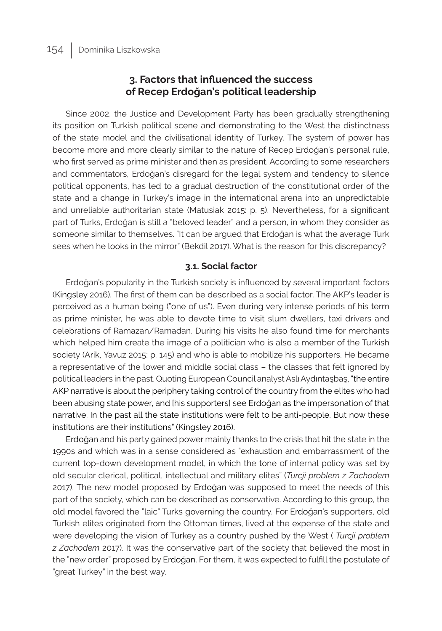### **3. Factors that influenced the success of Recep Erdoğan's political leadership**

Since 2002, the Justice and Development Party has been gradually strengthening its position on Turkish political scene and demonstrating to the West the distinctness of the state model and the civilisational identity of Turkey. The system of power has become more and more clearly similar to the nature of Recep Erdoğan's personal rule, who first served as prime minister and then as president. According to some researchers and commentators, Erdoğan's disregard for the legal system and tendency to silence political opponents, has led to a gradual destruction of the constitutional order of the state and a change in Turkey's image in the international arena into an unpredictable and unreliable authoritarian state (Matusiak 2015: p. 5). Nevertheless, for a significant part of Turks, Erdoğan is still a "beloved leader" and a person, in whom they consider as someone similar to themselves. "It can be argued that Erdoğan is what the average Turk sees when he looks in the mirror" (Bekdil 2017). What is the reason for this discrepancy?

#### **3.1. Social factor**

Erdoğan's popularity in the Turkish society is influenced by several important factors (Kingsley 2016). The first of them can be described as a social factor. The AKP's leader is perceived as a human being ("one of us"). Even during very intense periods of his term as prime minister, he was able to devote time to visit slum dwellers, taxi drivers and celebrations of Ramazan/Ramadan. During his visits he also found time for merchants which helped him create the image of a politician who is also a member of the Turkish society (Arik, Yavuz 2015: p. 145) and who is able to mobilize his supporters. He became a representative of the lower and middle social class – the classes that felt ignored by political leaders in the past. Quoting European Council analyst Aslı Aydıntaşbaş, "the entire AKP narrative is about the periphery taking control of the country from the elites who had been abusing state power, and [his supporters] see Erdoğan as the impersonation of that narrative. In the past all the state institutions were felt to be anti-people. But now these institutions are their institutions" (Kingsley 2016).

Erdoğan and his party gained power mainly thanks to the crisis that hit the state in the 1990s and which was in a sense considered as "exhaustion and embarrassment of the current top-down development model, in which the tone of internal policy was set by old secular clerical, political, intellectual and military elites" (*Turcji problem z Zachodem* 2017). The new model proposed by Erdoğan was supposed to meet the needs of this part of the society, which can be described as conservative. According to this group, the old model favored the "laic" Turks governing the country. For Erdoğan's supporters, old Turkish elites originated from the Ottoman times, lived at the expense of the state and were developing the vision of Turkey as a country pushed by the West ( *Turcji problem z Zachodem* 2017). It was the conservative part of the society that believed the most in the "new order" proposed by Erdoğan. For them, it was expected to fulfill the postulate of "great Turkey" in the best way.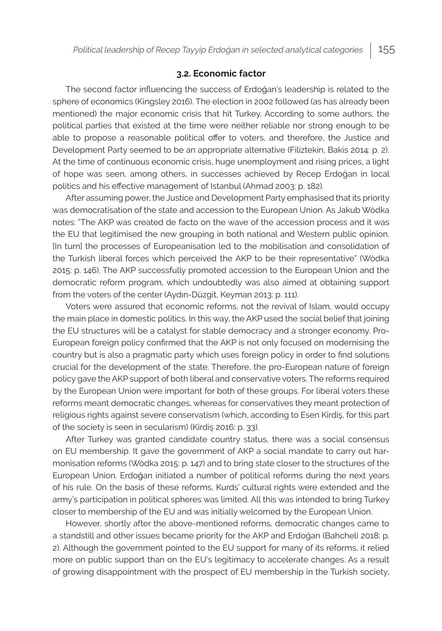#### **3.2. Economic factor**

The second factor influencing the success of Erdoğan's leadership is related to the sphere of economics (Kingsley 2016). The election in 2002 followed (as has already been mentioned) the major economic crisis that hit Turkey. According to some authors, the political parties that existed at the time were neither reliable nor strong enough to be able to propose a reasonable political offer to voters, and therefore, the Justice and Development Party seemed to be an appropriate alternative (Filiztekin, Bakis 2014: p. 2). At the time of continuous economic crisis, huge unemployment and rising prices, a light of hope was seen, among others, in successes achieved by Recep Erdoğan in local politics and his effective management of Istanbul (Ahmad 2003: p. 182).

After assuming power, the Justice and Development Party emphasised that its priority was democratisation of the state and accession to the European Union. As Jakub Wódka notes: "The AKP was created de facto on the wave of the accession process and it was the EU that legitimised the new grouping in both national and Western public opinion. [In turn] the processes of Europeanisation led to the mobilisation and consolidation of the Turkish liberal forces which perceived the AKP to be their representative" (Wódka 2015: p. 146). The AKP successfully promoted accession to the European Union and the democratic reform program, which undoubtedly was also aimed at obtaining support from the voters of the center (Aydın-Düzgit, Keyman 2013: p. 111).

Voters were assured that economic reforms, not the revival of Islam, would occupy the main place in domestic politics. In this way, the AKP used the social belief that joining the EU structures will be a catalyst for stable democracy and a stronger economy. Pro-European foreign policy confirmed that the AKP is not only focused on modernising the country but is also a pragmatic party which uses foreign policy in order to find solutions crucial for the development of the state. Therefore, the pro-European nature of foreign policy gave the AKP support of both liberal and conservative voters. The reforms required by the European Union were important for both of these groups. For liberal voters these reforms meant democratic changes, whereas for conservatives they meant protection of religious rights against severe conservatism (which, according to Esen Kirdiş, for this part of the society is seen in secularism) (Kirdiş 2016: p. 33).

After Turkey was granted candidate country status, there was a social consensus on EU membership. It gave the government of AKP a social mandate to carry out harmonisation reforms (Wódka 2015: p. 147) and to bring state closer to the structures of the European Union. Erdoğan initiated a number of political reforms during the next years of his rule. On the basis of these reforms, Kurds' cultural rights were extended and the army's participation in political spheres was limited. All this was intended to bring Turkey closer to membership of the EU and was initially welcomed by the European Union.

However, shortly after the above-mentioned reforms, democratic changes came to a standstill and other issues became priority for the AKP and Erdoğan (Bahcheli 2018: p. 2). Although the government pointed to the EU support for many of its reforms, it relied more on public support than on the EU's legitimacy to accelerate changes. As a result of growing disappointment with the prospect of EU membership in the Turkish society,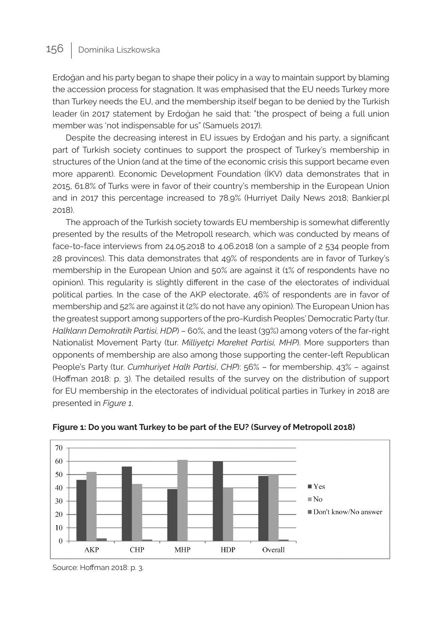Erdoğan and his party began to shape their policy in a way to maintain support by blaming the accession process for stagnation. It was emphasised that the EU needs Turkey more than Turkey needs the EU, and the membership itself began to be denied by the Turkish leader (in 2017 statement by Erdoğan he said that: "the prospect of being a full union member was 'not indispensable for us" (Samuels 2017).

Despite the decreasing interest in EU issues by Erdoğan and his party, a significant part of Turkish society continues to support the prospect of Turkey's membership in structures of the Union (and at the time of the economic crisis this support became even more apparent). Economic Development Foundation (İKV) data demonstrates that in 2015, 61.8% of Turks were in favor of their country's membership in the European Union and in 2017 this percentage increased to 78.9% (Hurriyet Daily News 2018; Bankier.pl 2018).

The approach of the Turkish society towards EU membership is somewhat differently presented by the results of the Metropoll research, which was conducted by means of face-to-face interviews from 24.05.2018 to 4.06.2018 (on a sample of 2 534 people from 28 provinces). This data demonstrates that 49% of respondents are in favor of Turkey's membership in the European Union and 50% are against it (1% of respondents have no opinion). This regularity is slightly different in the case of the electorates of individual political parties. In the case of the AKP electorate, 46% of respondents are in favor of membership and 52% are against it (2% do not have any opinion). The European Union has the greatest support among supporters of the pro-Kurdish Peoples' Democratic Party (tur. *Halkların Demokratik Partisi, HDP*) – 60%, and the least (39%) among voters of the far-right Nationalist Movement Party (tur. *Milliyetçi Mareket Partisi, MHP*). More supporters than opponents of membership are also among those supporting the center-left Republican People's Party (tur. *Cumhuriyet Halk Partisi*, *CHP*): 56% – for membership, 43% – against (Hoffman 2018: p. 3). The detailed results of the survey on the distribution of support for EU membership in the electorates of individual political parties in Turkey in 2018 are presented in *Figure 1*.





Source: Hoffman 2018: p. 3.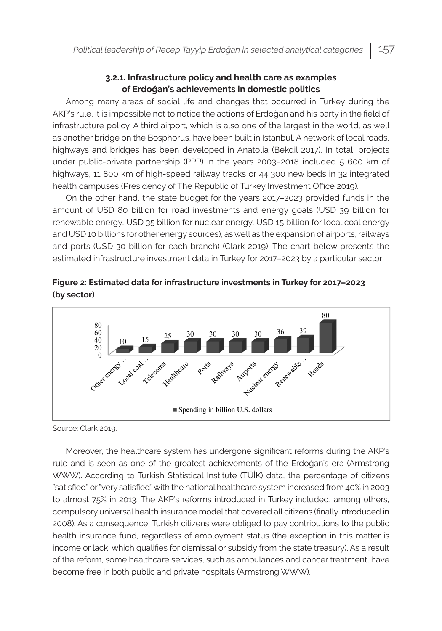#### **3.2.1. Infrastructure policy and health care as examples of Erdoğan's achievements in domestic politics**

Among many areas of social life and changes that occurred in Turkey during the AKP's rule, it is impossible not to notice the actions of Erdoğan and his party in the field of infrastructure policy. A third airport, which is also one of the largest in the world, as well as another bridge on the Bosphorus, have been built in Istanbul. A network of local roads, highways and bridges has been developed in Anatolia (Bekdil 2017). In total, projects under public-private partnership (PPP) in the years 2003–2018 included 5 600 km of highways, 11 800 km of high-speed railway tracks or 44 300 new beds in 32 integrated health campuses (Presidency of The Republic of Turkey Investment Office 2019).

On the other hand, the state budget for the years 2017–2023 provided funds in the amount of USD 80 billion for road investments and energy goals (USD 39 billion for renewable energy, USD 35 billion for nuclear energy, USD 15 billion for local coal energy and USD 10 billions for other energy sources), as well as the expansion of airports, railways and ports (USD 30 billion for each branch) (Clark 2019). The chart below presents the estimated infrastructure investment data in Turkey for 2017–2023 by a particular sector.





Source: Clark 2019.

Moreover, the healthcare system has undergone significant reforms during the AKP's rule and is seen as one of the greatest achievements of the Erdoğan's era (Armstrong WWW). According to Turkish Statistical Institute (TÜİK) data, the percentage of citizens "satisfied" or "very satisfied" with the national healthcare system increased from 40% in 2003 to almost 75% in 2013. The AKP's reforms introduced in Turkey included, among others, compulsory universal health insurance model that covered all citizens (finally introduced in 2008). As a consequence, Turkish citizens were obliged to pay contributions to the public health insurance fund, regardless of employment status (the exception in this matter is income or lack, which qualifies for dismissal or subsidy from the state treasury). As a result of the reform, some healthcare services, such as ambulances and cancer treatment, have become free in both public and private hospitals (Armstrong WWW).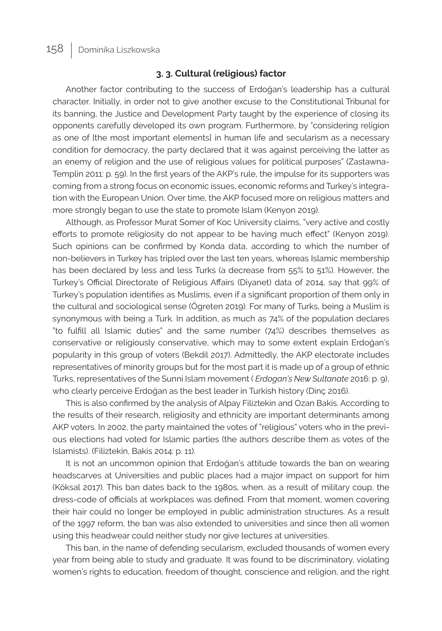#### **3. 3. Cultural (religious) factor**

Another factor contributing to the success of Erdoğan's leadership has a cultural character. Initially, in order not to give another excuse to the Constitutional Tribunal for its banning, the Justice and Development Party taught by the experience of closing its opponents carefully developed its own program. Furthermore, by "considering religion as one of [the most important elements] in human life and secularism as a necessary condition for democracy, the party declared that it was against perceiving the latter as an enemy of religion and the use of religious values for political purposes" (Zastawna-Templin 2011: p. 59). In the first years of the AKP's rule, the impulse for its supporters was coming from a strong focus on economic issues, economic reforms and Turkey's integration with the European Union. Over time, the AKP focused more on religious matters and more strongly began to use the state to promote Islam (Kenyon 2019).

Although, as Professor Murat Somer of Koc University claims, "very active and costly efforts to promote religiosity do not appear to be having much effect" (Kenyon 2019). Such opinions can be confirmed by Konda data, according to which the number of non-believers in Turkey has tripled over the last ten years, whereas Islamic membership has been declared by less and less Turks (a decrease from 55% to 51%). However, the Turkey's Official Directorate of Religious Affairs (Diyanet) data of 2014, say that 99% of Turkey's population identifies as Muslims, even if a significant proportion of them only in the cultural and sociological sense (Ögreten 2019). For many of Turks, being a Muslim is synonymous with being a Turk. In addition, as much as 74% of the population declares "to fulfill all Islamic duties" and the same number (74%) describes themselves as conservative or religiously conservative, which may to some extent explain Erdoğan's popularity in this group of voters (Bekdil 2017). Admittedly, the AKP electorate includes representatives of minority groups but for the most part it is made up of a group of ethnic Turks, representatives of the Sunni Islam movement ( *Erdogan's New Sultanate* 2016: p. 9), who clearly perceive Erdoğan as the best leader in Turkish history (Dinç 2016).

This is also confirmed by the analysis of Alpay Filiztekin and Ozan Bakis. According to the results of their research, religiosity and ethnicity are important determinants among AKP voters. In 2002, the party maintained the votes of "religious" voters who in the previous elections had voted for Islamic parties (the authors describe them as votes of the Islamists). (Filiztekin, Bakis 2014: p. 11).

It is not an uncommon opinion that Erdoğan's attitude towards the ban on wearing headscarves at Universities and public places had a major impact on support for him (Köksal 2017). This ban dates back to the 1980s, when, as a result of military coup, the dress-code of officials at workplaces was defined. From that moment, women covering their hair could no longer be employed in public administration structures. As a result of the 1997 reform, the ban was also extended to universities and since then all women using this headwear could neither study nor give lectures at universities.

This ban, in the name of defending secularism, excluded thousands of women every year from being able to study and graduate. It was found to be discriminatory, violating women's rights to education, freedom of thought, conscience and religion, and the right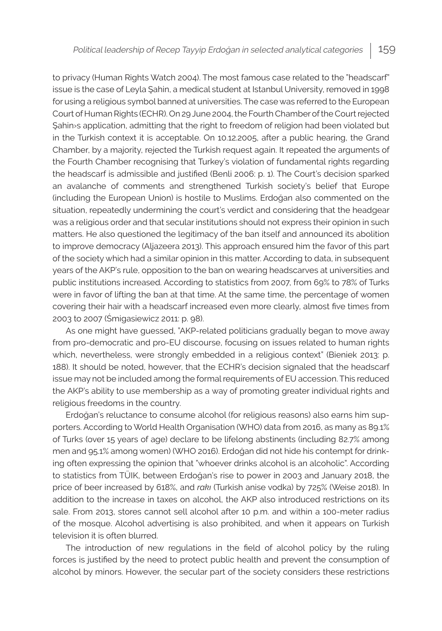to privacy (Human Rights Watch 2004). The most famous case related to the "headscarf" issue is the case of Leyla Şahin, a medical student at Istanbul University, removed in 1998 for using a religious symbol banned at universities. The case was referred to the European Court of Human Rights (ECHR). On 29 June 2004, the Fourth Chamber of the Court rejected Şahin›s application, admitting that the right to freedom of religion had been violated but in the Turkish context it is acceptable. On 10.12.2005, after a public hearing, the Grand Chamber, by a majority, rejected the Turkish request again. It repeated the arguments of the Fourth Chamber recognising that Turkey's violation of fundamental rights regarding the headscarf is admissible and justified (Benli 2006: p. 1). The Court's decision sparked an avalanche of comments and strengthened Turkish society's belief that Europe (including the European Union) is hostile to Muslims. Erdoğan also commented on the situation, repeatedly undermining the court's verdict and considering that the headgear was a religious order and that secular institutions should not express their opinion in such matters. He also questioned the legitimacy of the ban itself and announced its abolition to improve democracy (Aljazeera 2013). This approach ensured him the favor of this part of the society which had a similar opinion in this matter. According to data, in subsequent years of the AKP's rule, opposition to the ban on wearing headscarves at universities and public institutions increased. According to statistics from 2007, from 69% to 78% of Turks were in favor of lifting the ban at that time. At the same time, the percentage of women covering their hair with a headscarf increased even more clearly, almost five times from 2003 to 2007 (Śmigasiewicz 2011: p. 98).

As one might have guessed, "AKP-related politicians gradually began to move away from pro-democratic and pro-EU discourse, focusing on issues related to human rights which, nevertheless, were strongly embedded in a religious context" (Bieniek 2013: p. 188). It should be noted, however, that the ECHR's decision signaled that the headscarf issue may not be included among the formal requirements of EU accession. This reduced the AKP's ability to use membership as a way of promoting greater individual rights and religious freedoms in the country.

Erdoğan's reluctance to consume alcohol (for religious reasons) also earns him supporters. According to World Health Organisation (WHO) data from 2016, as many as 89.1% of Turks (over 15 years of age) declare to be lifelong abstinents (including 82.7% among men and 95.1% among women) (WHO 2016). Erdoğan did not hide his contempt for drinking often expressing the opinion that "whoever drinks alcohol is an alcoholic". According to statistics from TÜIK, between Erdoğan's rise to power in 2003 and January 2018, the price of beer increased by 618%, and *rakı* (Turkish anise vodka) by 725% (Weise 2018). In addition to the increase in taxes on alcohol, the AKP also introduced restrictions on its sale. From 2013, stores cannot sell alcohol after 10 p.m. and within a 100-meter radius of the mosque. Alcohol advertising is also prohibited, and when it appears on Turkish television it is often blurred.

The introduction of new regulations in the field of alcohol policy by the ruling forces is justified by the need to protect public health and prevent the consumption of alcohol by minors. However, the secular part of the society considers these restrictions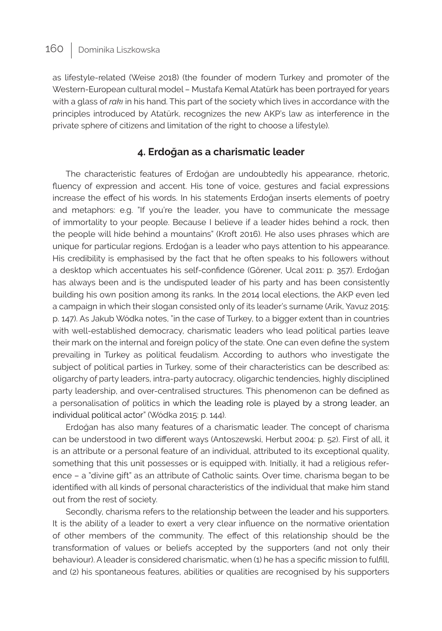as lifestyle-related (Weise 2018) (the founder of modern Turkey and promoter of the Western-European cultural model – Mustafa Kemal Atatürk has been portrayed for years with a glass of *rakı* in his hand. This part of the society which lives in accordance with the principles introduced by Atatürk, recognizes the new AKP's law as interference in the private sphere of citizens and limitation of the right to choose a lifestyle).

### **4. Erdoğan as a charismatic leader**

The characteristic features of Erdoğan are undoubtedly his appearance, rhetoric, fluency of expression and accent. His tone of voice, gestures and facial expressions increase the effect of his words. In his statements Erdoğan inserts elements of poetry and metaphors: e.g. "If you're the leader, you have to communicate the message of immortality to your people. Because I believe if a leader hides behind a rock, then the people will hide behind a mountains" (Kroft 2016). He also uses phrases which are unique for particular regions. Erdoğan is a leader who pays attention to his appearance. His credibility is emphasised by the fact that he often speaks to his followers without a desktop which accentuates his self-confidence (Görener, Ucal 2011: p. 357). Erdoğan has always been and is the undisputed leader of his party and has been consistently building his own position among its ranks. In the 2014 local elections, the AKP even led a campaign in which their slogan consisted only of its leader's surname (Arik, Yavuz 2015: p. 147). As Jakub Wódka notes, "in the case of Turkey, to a bigger extent than in countries with well-established democracy, charismatic leaders who lead political parties leave their mark on the internal and foreign policy of the state. One can even define the system prevailing in Turkey as political feudalism. According to authors who investigate the subject of political parties in Turkey, some of their characteristics can be described as: oligarchy of party leaders, intra-party autocracy, oligarchic tendencies, highly disciplined party leadership, and over-centralised structures. This phenomenon can be defined as a personalisation of politics in which the leading role is played by a strong leader, an individual political actor" (Wódka 2015: p. 144).

Erdoğan has also many features of a charismatic leader. The concept of charisma can be understood in two different ways (Antoszewski, Herbut 2004: p. 52). First of all, it is an attribute or a personal feature of an individual, attributed to its exceptional quality, something that this unit possesses or is equipped with. Initially, it had a religious reference – a "divine gift" as an attribute of Catholic saints. Over time, charisma began to be identified with all kinds of personal characteristics of the individual that make him stand out from the rest of society.

Secondly, charisma refers to the relationship between the leader and his supporters. It is the ability of a leader to exert a very clear influence on the normative orientation of other members of the community. The effect of this relationship should be the transformation of values or beliefs accepted by the supporters (and not only their behaviour). A leader is considered charismatic, when (1) he has a specific mission to fulfill, and (2) his spontaneous features, abilities or qualities are recognised by his supporters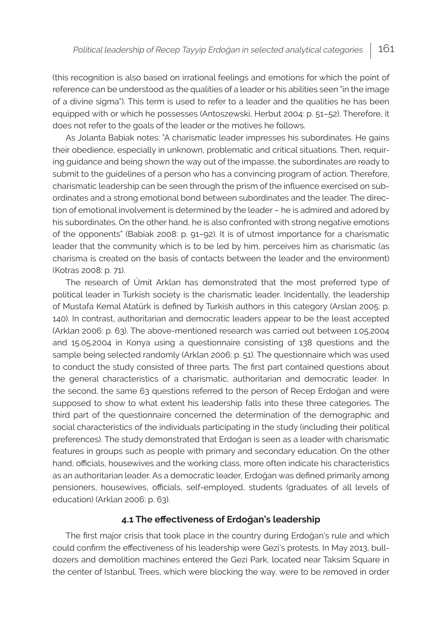(this recognition is also based on irrational feelings and emotions for which the point of reference can be understood as the qualities of a leader or his abilities seen "in the image of a divine sigma"). This term is used to refer to a leader and the qualities he has been equipped with or which he possesses (Antoszewski, Herbut 2004: p. 51–52). Therefore, it does not refer to the goals of the leader or the motives he follows.

As Jolanta Babiak notes: "A charismatic leader impresses his subordinates. He gains their obedience, especially in unknown, problematic and critical situations. Then, requiring guidance and being shown the way out of the impasse, the subordinates are ready to submit to the guidelines of a person who has a convincing program of action. Therefore, charismatic leadership can be seen through the prism of the influence exercised on subordinates and a strong emotional bond between subordinates and the leader. The direction of emotional involvement is determined by the leader – he is admired and adored by his subordinates. On the other hand, he is also confronted with strong negative emotions of the opponents" (Babiak 2008: p. 91–92). It is of utmost importance for a charismatic leader that the community which is to be led by him, perceives him as charismatic (as charisma is created on the basis of contacts between the leader and the environment) (Kotras 2008: p. 71).

The research of Ümit Arklan has demonstrated that the most preferred type of political leader in Turkish society is the charismatic leader. Incidentally, the leadership of Mustafa Kemal Atatürk is defined by Turkish authors in this category (Arslan 2005: p. 140). In contrast, authoritarian and democratic leaders appear to be the least accepted (Arklan 2006: p. 63). The above-mentioned research was carried out between 1.05.2004 and 15.05.2004 in Konya using a questionnaire consisting of 138 questions and the sample being selected randomly (Arklan 2006: p. 51). The questionnaire which was used to conduct the study consisted of three parts. The first part contained questions about the general characteristics of a charismatic, authoritarian and democratic leader. In the second, the same 63 questions referred to the person of Recep Erdoğan and were supposed to show to what extent his leadership falls into these three categories. The third part of the questionnaire concerned the determination of the demographic and social characteristics of the individuals participating in the study (including their political preferences). The study demonstrated that Erdoğan is seen as a leader with charismatic features in groups such as people with primary and secondary education. On the other hand, officials, housewives and the working class, more often indicate his characteristics as an authoritarian leader. As a democratic leader, Erdoğan was defined primarily among pensioners, housewives, officials, self-employed, students (graduates of all levels of education) (Arklan 2006: p. 63).

#### **4.1 The effectiveness of Erdoğan's leadership**

The first major crisis that took place in the country during Erdoğan's rule and which could confirm the effectiveness of his leadership were Gezi's protests. In May 2013, bulldozers and demolition machines entered the Gezi Park, located near Taksim Square in the center of Istanbul. Trees, which were blocking the way, were to be removed in order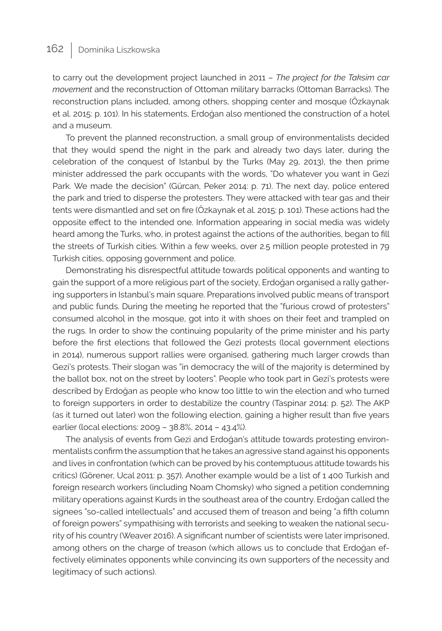to carry out the development project launched in 2011 – *The project for the Taksim car movement* and the reconstruction of Ottoman military barracks (Ottoman Barracks). The reconstruction plans included, among others, shopping center and mosque (Özkaynak et al. 2015: p. 101). In his statements, Erdoğan also mentioned the construction of a hotel and a museum.

To prevent the planned reconstruction, a small group of environmentalists decided that they would spend the night in the park and already two days later, during the celebration of the conquest of Istanbul by the Turks (May 29, 2013), the then prime minister addressed the park occupants with the words, "Do whatever you want in Gezi Park. We made the decision" (Gürcan, Peker 2014: p. 71). The next day, police entered the park and tried to disperse the protesters. They were attacked with tear gas and their tents were dismantled and set on fire (Özkaynak et al. 2015: p. 101). These actions had the opposite effect to the intended one. Information appearing in social media was widely heard among the Turks, who, in protest against the actions of the authorities, began to fill the streets of Turkish cities. Within a few weeks, over 2.5 million people protested in 79 Turkish cities, opposing government and police.

Demonstrating his disrespectful attitude towards political opponents and wanting to gain the support of a more religious part of the society, Erdoğan organised a rally gathering supporters in Istanbul's main square. Preparations involved public means of transport and public funds. During the meeting he reported that the "furious crowd of protesters" consumed alcohol in the mosque, got into it with shoes on their feet and trampled on the rugs. In order to show the continuing popularity of the prime minister and his party before the first elections that followed the Gezi protests (local government elections in 2014), numerous support rallies were organised, gathering much larger crowds than Gezi's protests. Their slogan was "in democracy the will of the majority is determined by the ballot box, not on the street by looters". People who took part in Gezi's protests were described by Erdoğan as people who know too little to win the election and who turned to foreign supporters in order to destabilize the country (Taspinar 2014: p. 52). The AKP (as it turned out later) won the following election, gaining a higher result than five years earlier (local elections: 2009 – 38.8%, 2014 – 43.4%).

The analysis of events from Gezi and Erdoğan's attitude towards protesting environmentalists confirm the assumption that he takes an agressive stand against his opponents and lives in confrontation (which can be proved by his contemptuous attitude towards his critics) (Görener, Ucal 2011: p. 357). Another example would be a list of 1 400 Turkish and foreign research workers (including Noam Chomsky) who signed a petition condemning military operations against Kurds in the southeast area of the country. Erdoğan called the signees "so-called intellectuals" and accused them of treason and being "a fifth column of foreign powers" sympathising with terrorists and seeking to weaken the national security of his country (Weaver 2016). A significant number of scientists were later imprisoned, among others on the charge of treason (which allows us to conclude that Erdoğan effectively eliminates opponents while convincing its own supporters of the necessity and legitimacy of such actions).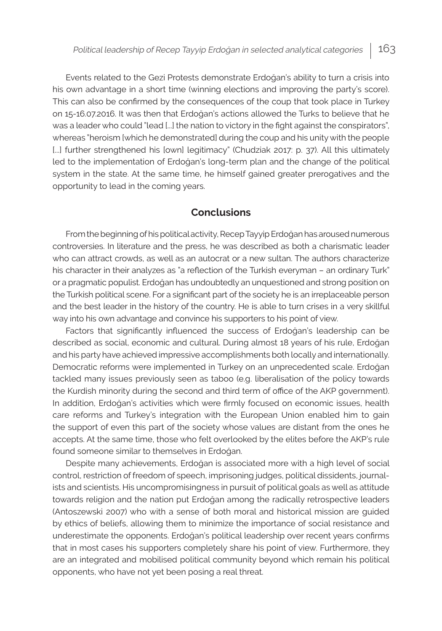Events related to the Gezi Protests demonstrate Erdoğan's ability to turn a crisis into his own advantage in a short time (winning elections and improving the party's score). This can also be confirmed by the consequences of the coup that took place in Turkey on 15-16.07.2016. It was then that Erdoğan's actions allowed the Turks to believe that he was a leader who could "lead [...] the nation to victory in the fight against the conspirators", whereas "heroism [which he demonstrated] during the coup and his unity with the people [...] further strengthened his [own] legitimacy" (Chudziak 2017: p. 37). All this ultimately led to the implementation of Erdoğan's long-term plan and the change of the political system in the state. At the same time, he himself gained greater prerogatives and the opportunity to lead in the coming years.

### **Conclusions**

From the beginning of his political activity, Recep Tayyip Erdoğan has aroused numerous controversies. In literature and the press, he was described as both a charismatic leader who can attract crowds, as well as an autocrat or a new sultan. The authors characterize his character in their analyzes as "a reflection of the Turkish everyman - an ordinary Turk" or a pragmatic populist. Erdoğan has undoubtedly an unquestioned and strong position on the Turkish political scene. For a significant part of the society he is an irreplaceable person and the best leader in the history of the country. He is able to turn crises in a very skillful way into his own advantage and convince his supporters to his point of view.

Factors that significantly influenced the success of Erdoğan's leadership can be described as social, economic and cultural. During almost 18 years of his rule, Erdoğan and his party have achieved impressive accomplishments both locally and internationally. Democratic reforms were implemented in Turkey on an unprecedented scale. Erdoğan tackled many issues previously seen as taboo (e.g. liberalisation of the policy towards the Kurdish minority during the second and third term of office of the AKP government). In addition, Erdoğan's activities which were firmly focused on economic issues, health care reforms and Turkey's integration with the European Union enabled him to gain the support of even this part of the society whose values are distant from the ones he accepts. At the same time, those who felt overlooked by the elites before the AKP's rule found someone similar to themselves in Erdoğan.

Despite many achievements, Erdoğan is associated more with a high level of social control, restriction of freedom of speech, imprisoning judges, political dissidents, journalists and scientists. His uncompromisingness in pursuit of political goals as well as attitude towards religion and the nation put Erdoğan among the radically retrospective leaders (Antoszewski 2007) who with a sense of both moral and historical mission are guided by ethics of beliefs, allowing them to minimize the importance of social resistance and underestimate the opponents. Erdoğan's political leadership over recent years confirms that in most cases his supporters completely share his point of view. Furthermore, they are an integrated and mobilised political community beyond which remain his political opponents, who have not yet been posing a real threat.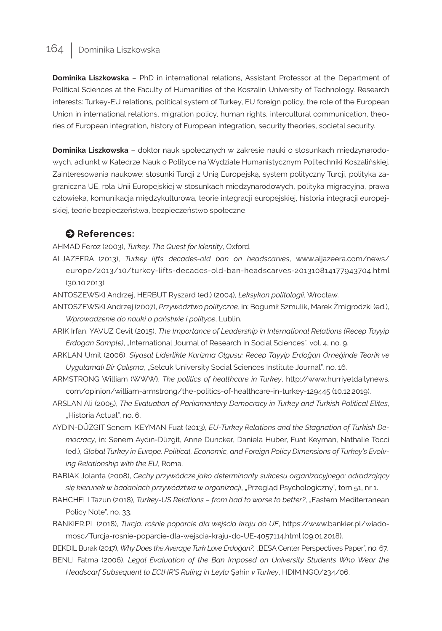**Dominika Liszkowska** – PhD in international relations, Assistant Professor at the Department of Political Sciences at the Faculty of Humanities of the Koszalin University of Technology. Research interests: Turkey-EU relations, political system of Turkey, EU foreign policy, the role of the European Union in international relations, migration policy, human rights, intercultural communication, theories of European integration, history of European integration, security theories, societal security.

**Dominika Liszkowska** – doktor nauk społecznych w zakresie nauki o stosunkach międzynarodowych, adiunkt w Katedrze Nauk o Polityce na Wydziale Humanistycznym Politechniki Koszalińskiej. Zainteresowania naukowe: stosunki Turcji z Unią Europejską, system polityczny Turcji, polityka zagraniczna UE, rola Unii Europejskiej w stosunkach międzynarodowych, polityka migracyjna, prawa człowieka, komunikacja międzykulturowa, teorie integracji europejskiej, historia integracji europejskiej, teorie bezpieczeństwa, bezpieczeństwo społeczne.

#### $\bullet$  References:

AHMAD Feroz (2003), *Turkey: The Quest for Identity*, Oxford.

- ALJAZEERA (2013), *Turkey lifts decades-old ban on headscarves*, www.aljazeera.com/news/ europe/2013/10/turkey-lifts-decades-old-ban-headscarves-201310814177943704.html (30.10.2013).
- ANTOSZEWSKI Andrzej, HERBUT Ryszard (ed.) (2004), *Leksykon politologii*, Wrocław.
- ANTOSZEWSKI Andrzej (2007), *Przywództwo polityczne*, in: Bogumił Szmulik, Marek Żmigrodzki (ed.), *Wprowadzenie do nauki o państwie i polityce*, Lublin.
- ARIK Irfan, YAVUZ Cevit (2015), *The Importance of Leadership in International Relations (Recep Tayyip Erdogan Sample)*, "International Journal of Research In Social Sciences", vol. 4, no. 9.
- ARKLAN Umit (2006), *Siyasal Liderlikte Karizma Olgusu: Recep Tayyip Erdoğan Örneğinde Teorik ve Uygulamalı Bir Çalışma*, "Selcuk University Social Sciences Institute Journal", no. 16.
- ARMSTRONG William (WWW), *The politics of healthcare in Turkey*, http://www.hurriyetdailynews. com/opinion/william-armstrong/the-politics-of-healthcare-in-turkey-129445 (10.12.2019).
- ARSLAN Ali (2005), *The Evaluation of Parliamentary Democracy in Turkey and Turkish Political Elites*, "Historia Actual", no. 6.
- AYDIN-DÜZGIT Senem, KEYMAN Fuat (2013), *EU-Turkey Relations and the Stagnation of Turkish Democracy*, in: Senem Aydın-Düzgit, Anne Duncker, Daniela Huber, Fuat Keyman, Nathalie Tocci (ed.), *Global Turkey in Europe. Political, Economic, and Foreign Policy Dimensions of Turkey's Evolving Relationship with the EU*, Roma.
- BABIAK Jolanta (2008), *Cechy przywódcze jako determinanty sukcesu organizacyjnego: odradzający*  się kierunek w badaniach przywództwa w organizacji, "Przegląd Psychologiczny", tom 51, nr 1.
- BAHCHELI Tazun (2018), *Turkey-US Relations from bad to worse to better?*, "Eastern Mediterranean Policy Note", no. 33.
- BANKIER.PL (2018), *Turcja: rośnie poparcie dla wejścia kraju do UE*, https://www.bankier.pl/wiadomosc/Turcja-rosnie-poparcie-dla-wejscia-kraju-do-UE-4057114.html (09.01.2018).

BEKDIL Burak (2017), *Why Does the Average Turk Love Erdoğan?,* "BESA Center Perspectives Paper", no. 67. BENLI Fatma (2006), *Legal Evaluation of the Ban Imposed on University Students Who Wear the* 

*Headscarf Subsequent to ECtHR'S Ruling in Leyla* Şahin *v Turkey*, HDIM.NGO/234/06.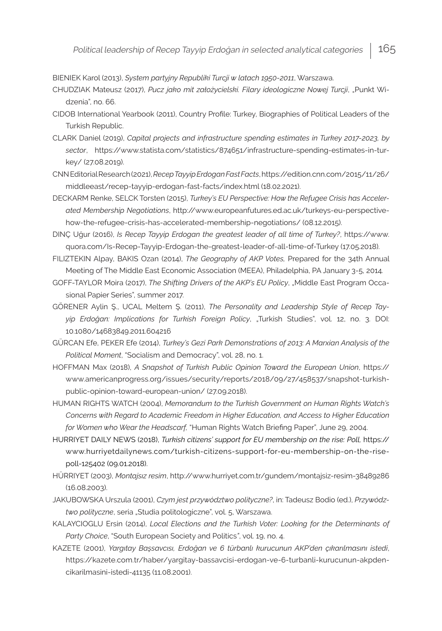BIENIEK Karol (2013), *System partyjny Republiki Turcji w latach 1950-2011*, Warszawa.

- CHUDZIAK Mateusz (2017), *Pucz jako mit założycielski. Filary ideologiczne Nowej Turcji*, "Punkt Widzenia", no. 66.
- CIDOB International Yearbook (2011), Country Profile: Turkey, Biographies of Political Leaders of the Turkish Republic.
- CLARK Daniel (2019), *Capital projects and infrastructure spending estimates in Turkey 2017-2023, by sector*, https://www.statista.com/statistics/874651/infrastructure-spending-estimates-in-turkey/ (27.08.2019).
- CNN Editorial Research (2021), *Recep Tayyip Erdogan Fast Facts*, https://edition.cnn.com/2015/11/26/ middleeast/recep-tayyip-erdogan-fast-facts/index.html (18.02.2021).
- DECKARM Renke, SELCK Torsten (2015), *Turkey's EU Perspective: How the Refugee Crisis has Accelerated Membership Negotiations*, http://www.europeanfutures.ed.ac.uk/turkeys-eu-perspectivehow-the-refugee-crisis-has-accelerated-membership-negotiations/ (08.12.2015).

DINÇ Uğur (2016), *Is Recep Tayyip Erdogan the greatest leader of all time of Turkey?*, https://www. quora.com/Is-Recep-Tayyip-Erdogan-the-greatest-leader-of-all-time-of-Turkey (17.05.2018).

- FILIZTEKIN Alpay, BAKIS Ozan (2014), *The Geography of AKP Votes,* Prepared for the 34th Annual Meeting of The Middle East Economic Association (MEEA), Philadelphia, PA January 3-5, 2014*.*
- GOFF-TAYLOR Moira (2017), *The Shifting Drivers of the AKP's EU Policy*, "Middle East Program Occasional Papier Series", summer 2017.
- GÖRENER Aylin Ş., UCAL Meltem Ş. (2011), *The Personality and Leadership Style of Recep Tay*yip Erdoğan: Implications for Turkish Foreign Policy, "Turkish Studies", vol. 12, no. 3. DOI: 10.1080/14683849.2011.604216
- GÜRCAN Efe, PEKER Efe (2014), *Turkey's Gezi Park Demonstrations of 2013: A Marxian Analysis of the Political Moment*, "Socialism and Democracy", vol. 28, no. 1.
- HOFFMAN Max (2018), *A Snapshot of Turkish Public Opinion Toward the European Union*, https:// www.americanprogress.org/issues/security/reports/2018/09/27/458537/snapshot-turkishpublic-opinion-toward-european-union/ (27.09.2018).
- HUMAN RIGHTS WATCH (2004), *Memorandum to the Turkish Government on Human Rights Watch's Concerns with Regard to Academic Freedom in Higher Education, and Access to Higher Education for Women who Wear the Headscarf,* "Human Rights Watch Briefing Paper", June 29, 2004.
- HURRIYET DAILY NEWS (2018), *Turkish citizens' support for EU membership on the rise: Poll,* [https://](https://www.hurriyetdailynews.com/turkish-citizens-support-for-eu-membership-on-the-rise-poll-125402) [www.hurriyetdailynews.com/turkish-citizens-support-for-eu-membership-on-the-rise](https://www.hurriyetdailynews.com/turkish-citizens-support-for-eu-membership-on-the-rise-poll-125402)[poll-125402](https://www.hurriyetdailynews.com/turkish-citizens-support-for-eu-membership-on-the-rise-poll-125402) (09.01.2018).
- HÜRRIYET (2003), *Montajsız resim*, http://www.hurriyet.com.tr/gundem/montajsiz-resim-38489286 (16.08.2003).
- JAKUBOWSKA Urszula (2001), *Czym jest przywództwo polityczne?*, in: Tadeusz Bodio (ed.), *Przywództwo polityczne*, seria "Studia politologiczne", vol. 5, Warszawa.
- KALAYCIOGLU Ersin (2014), *Local Elections and the Turkish Voter: Looking for the Determinants of Party Choice*, "South European Society and Politics*"*, vol. 19, no. 4.
- KAZETE (2001), *Yargıtay Başsavcısı, Erdoğan ve 6 türbanlı kurucunun AKP'den çıkarılmasını istedi*, https://kazete.com.tr/haber/yargitay-bassavcisi-erdogan-ve-6-turbanli-kurucunun-akpdencikarilmasini-istedi-41135 (11.08.2001).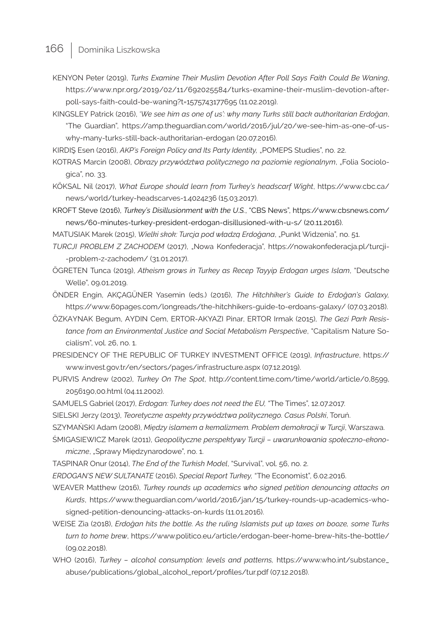KENYON Peter (2019), *Turks Examine Their Muslim Devotion After Poll Says Faith Could Be Waning*, https://www.npr.org/2019/02/11/692025584/turks-examine-their-muslim-devotion-afterpoll-says-faith-could-be-waning?t=1575743177695 (11.02.2019).

KINGSLEY Patrick (2016), '*We see him as one of us': why many Turks still back authoritarian Erdoğan*, "The Guardian", https://amp.theguardian.com/world/2016/jul/20/we-see-him-as-one-of-uswhy-many-turks-still-back-authoritarian-erdogan (20.07.2016).

KIRDIŞ Esen (2016), *AKP's Foreign Policy and Its Party Identity,* "POMEPS Studies", no. 22.

KOTRAS Marcin (2008), *Obrazy przywództwa politycznego na poziomie regionalnym*, "Folia Sociologica", no. 33.

KÖKSAL Nil (2017), *What Europe should learn from Turkey's headscarf Wight*, https://www.cbc.ca/ news/world/turkey-headscarves-1.4024236 (15.03.2017).

KROFT Steve (2016), *Turkey's Disillusionment with the U.S.*, "CBS News", https://www.cbsnews.com/ news/60-minutes-turkey-president-erdogan-disillusioned-with-u-s/ (20.11.2016).

MATUSIAK Marek (2015), *Wielki skok: Turcja pod władzą Erdoğana*, "Punkt Widzenia", no. 51.

- *TURCJI PROBLEM Z ZACHODEM* (2017), "Nowa Konfederacja", https://nowakonfederacja.pl/turcji- -problem-z-zachodem/ (31.01.2017).
- ÖGRETEN Tunca (2019), *Atheism grows in Turkey as Recep Tayyip Erdogan urges Islam*, "Deutsche Welle", 09.01.2019.

ÖNDER Engin, AKÇAGÜNER Yasemin (eds.) (2016), *The Hitchhiker's Guide to Erdoğan's Galaxy,*  https://www.60pages.com/longreads/the-hitchhikers-guide-to-erdoans-galaxy/ (07.03.2018).

ÖZKAYNAK Begum, AYDIN Cem, ERTOR-AKYAZI Pinar, ERTOR Irmak (2015), *The Gezi Park Resistance from an Environmental Justice and Social Metabolism Perspective*, "Capitalism Nature Socialism", vol. 26, no. 1.

PRESIDENCY OF THE REPUBLIC OF TURKEY INVESTMENT OFFICE (2019), *Infrastructure*, https:// www.invest.gov.tr/en/sectors/pages/infrastructure.aspx (07.12.2019).

- PURVIS Andrew (2002), *Turkey On The Spot*, http://content.time.com/time/world/article/0,8599, 2056190,00.html (04.11.2002).
- SAMUELS Gabriel (2017), *Erdogan: Turkey does not need the EU,* "The Times", 12.07.2017.

SIELSKI Jerzy (2013), *Teoretyczne aspekty przywództwa politycznego. Casus Polski*, Toruń.

SZYMAŃSKI Adam (2008), *Między islamem a kemalizmem. Problem demokracji w Turcji*, Warszawa.

- ŚMIGASIEWICZ Marek (2011), *Geopolityczne perspektywy Turcji uwarunkowania społeczno-ekonomiczne*, "Sprawy Międzynarodowe", no. 1.
- TASPINAR Onur (2014), *The End of the Turkish Model*, "Survival", vol. 56, no. 2.

*ERDOGAN'S NEW SULTANATE* (2016), *Special Report Turkey,* "The Economist", 6.02.2016.

WEAVER Matthew (2016), *Turkey rounds up academics who signed petition denouncing attacks on Kurds*, https://www.theguardian.com/world/2016/jan/15/turkey-rounds-up-academics-whosigned-petition-denouncing-attacks-on-kurds (11.01.2016).

- WEISE Zia (2018), *Erdoğan hits the bottle. As the ruling Islamists put up taxes on booze, some Turks turn to home brew*, https://www.politico.eu/article/erdogan-beer-home-brew-hits-the-bottle/ (09.02.2018).
- WHO (2016), *Turkey alcohol consumption: levels and patterns,* https://www.who.int/substance\_ abuse/publications/global\_alcohol\_report/profiles/tur.pdf (07.12.2018).